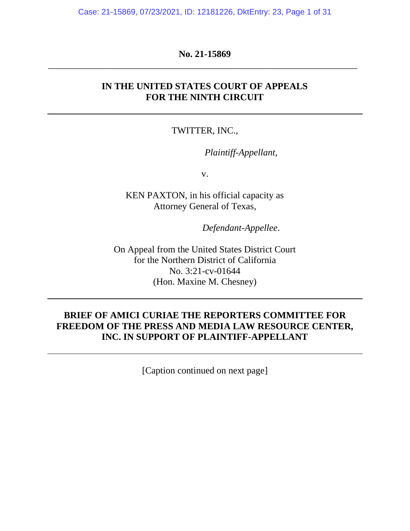Case: 21-15869, 07/23/2021, ID: 12181226, DktEntry: 23, Page 1 of 31

## **No. 21-15869** \_\_\_\_\_\_\_\_\_\_\_\_\_\_\_\_\_\_\_\_\_\_\_\_\_\_\_\_\_\_\_\_\_\_\_\_\_\_\_\_\_\_\_\_\_\_\_\_\_\_\_\_\_\_\_\_\_\_\_\_\_\_\_\_\_\_

## **IN THE UNITED STATES COURT OF APPEALS FOR THE NINTH CIRCUIT**

## TWITTER, INC.,

*Plaintiff-Appellant*,

v.

KEN PAXTON, in his official capacity as Attorney General of Texas,

*Defendant-Appellee*.

On Appeal from the United States District Court for the Northern District of California No. 3:21-cv-01644 (Hon. Maxine M. Chesney)

## **BRIEF OF AMICI CURIAE THE REPORTERS COMMITTEE FOR FREEDOM OF THE PRESS AND MEDIA LAW RESOURCE CENTER, INC. IN SUPPORT OF PLAINTIFF-APPELLANT**

[Caption continued on next page]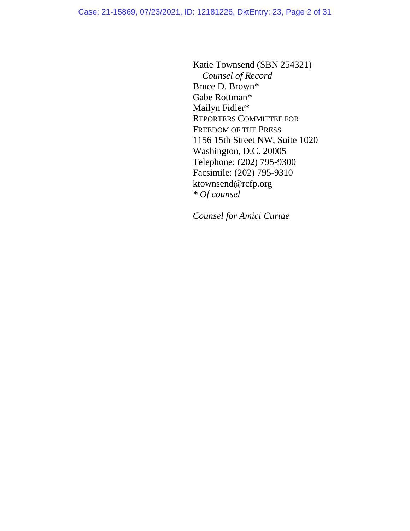Katie Townsend (SBN 254321) *Counsel of Record* Bruce D. Brown\* Gabe Rottman\* Mailyn Fidler\* REPORTERS COMMITTEE FOR FREEDOM OF THE PRESS 1156 15th Street NW, Suite 1020 Washington, D.C. 20005 Telephone: (202) 795-9300 Facsimile: (202) 795-9310 ktownsend@rcfp.org *\* Of counsel*

*Counsel for Amici Curiae*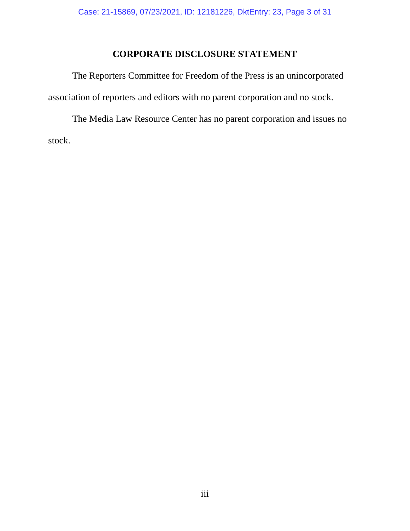## **CORPORATE DISCLOSURE STATEMENT**

The Reporters Committee for Freedom of the Press is an unincorporated association of reporters and editors with no parent corporation and no stock.

The Media Law Resource Center has no parent corporation and issues no stock.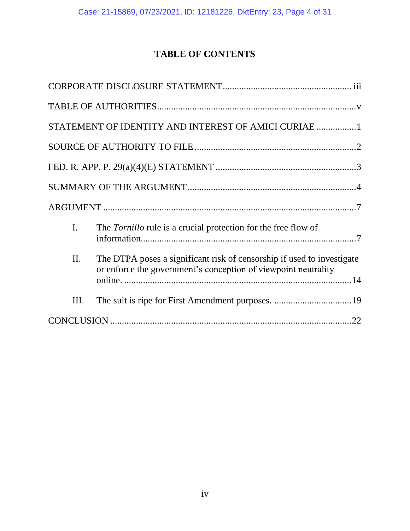# **TABLE OF CONTENTS**

|                | STATEMENT OF IDENTITY AND INTEREST OF AMICI CURIAE 1                                                                                     |  |
|----------------|------------------------------------------------------------------------------------------------------------------------------------------|--|
|                |                                                                                                                                          |  |
|                |                                                                                                                                          |  |
|                |                                                                                                                                          |  |
|                |                                                                                                                                          |  |
| $\mathbf{I}$ . | The Tornillo rule is a crucial protection for the free flow of                                                                           |  |
| II.            | The DTPA poses a significant risk of censorship if used to investigate<br>or enforce the government's conception of viewpoint neutrality |  |
| III.           |                                                                                                                                          |  |
|                |                                                                                                                                          |  |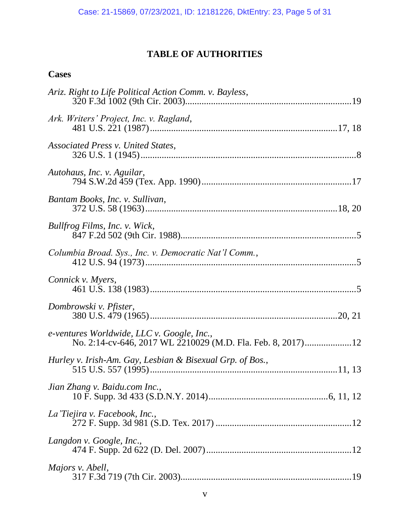# **TABLE OF AUTHORITIES**

## **Cases**

| Ariz. Right to Life Political Action Comm. v. Bayless,                                                    |  |
|-----------------------------------------------------------------------------------------------------------|--|
| Ark. Writers' Project, Inc. v. Ragland,                                                                   |  |
| Associated Press v. United States,                                                                        |  |
| Autohaus, Inc. v. Aguilar,                                                                                |  |
| Bantam Books, Inc. v. Sullivan,                                                                           |  |
| Bullfrog Films, Inc. v. Wick,                                                                             |  |
| Columbia Broad. Sys., Inc. v. Democratic Nat'l Comm.,                                                     |  |
| Connick v. Myers,                                                                                         |  |
| Dombrowski v. Pfister,                                                                                    |  |
| e-ventures Worldwide, LLC v. Google, Inc.,<br>No. 2:14-cv-646, 2017 WL 2210029 (M.D. Fla. Feb. 8, 2017)12 |  |
| Hurley v. Irish-Am. Gay, Lesbian & Bisexual Grp. of Bos.,                                                 |  |
| Jian Zhang v. Baidu.com Inc.,                                                                             |  |
| La Tiejira v. Facebook, Inc.,                                                                             |  |
| Langdon v. Google, Inc.,                                                                                  |  |
| Majors v. Abell,                                                                                          |  |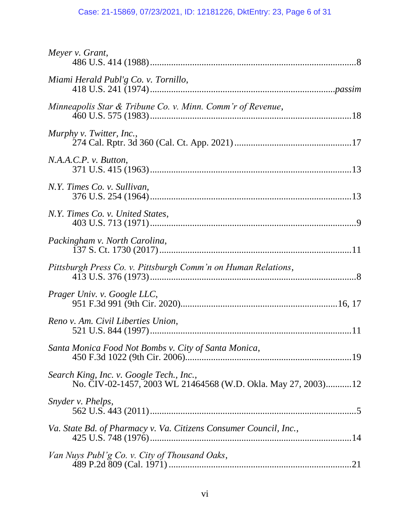# Case: 21-15869, 07/23/2021, ID: 12181226, DktEntry: 23, Page 6 of 31

| Meyer v. Grant,                                                                                           |  |
|-----------------------------------------------------------------------------------------------------------|--|
| Miami Herald Publ'g Co. v. Tornillo,                                                                      |  |
| Minneapolis Star & Tribune Co. v. Minn. Comm'r of Revenue,                                                |  |
| Murphy v. Twitter, Inc.,                                                                                  |  |
| N.A.A.C.P. v. Button,                                                                                     |  |
| N.Y. Times Co. v. Sullivan,                                                                               |  |
| N.Y. Times Co. v. United States,                                                                          |  |
| Packingham v. North Carolina,                                                                             |  |
| Pittsburgh Press Co. v. Pittsburgh Comm'n on Human Relations,                                             |  |
| Prager Univ. v. Google LLC,                                                                               |  |
| Reno v. Am. Civil Liberties Union,                                                                        |  |
| Santa Monica Food Not Bombs v. City of Santa Monica,                                                      |  |
| Search King, Inc. v. Google Tech., Inc.,<br>No. CIV-02-1457, 2003 WL 21464568 (W.D. Okla. May 27, 2003)12 |  |
| Snyder v. Phelps,                                                                                         |  |
| Va. State Bd. of Pharmacy v. Va. Citizens Consumer Council, Inc.,                                         |  |
| Van Nuys Publ'g Co. v. City of Thousand Oaks,                                                             |  |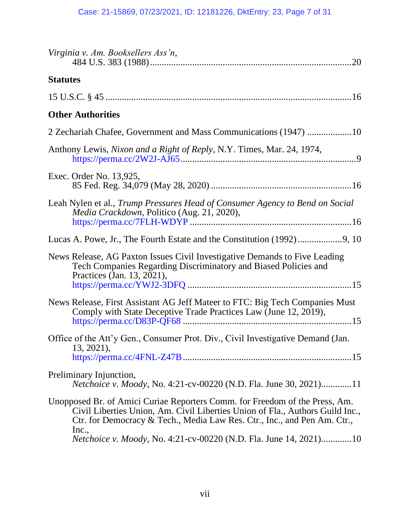| Virginia v. Am. Booksellers Ass'n,                                                                                                                                                                                                                |
|---------------------------------------------------------------------------------------------------------------------------------------------------------------------------------------------------------------------------------------------------|
| <b>Statutes</b>                                                                                                                                                                                                                                   |
|                                                                                                                                                                                                                                                   |
| <b>Other Authorities</b>                                                                                                                                                                                                                          |
| 2 Zechariah Chafee, Government and Mass Communications (1947) 10                                                                                                                                                                                  |
| Anthony Lewis, <i>Nixon and a Right of Reply</i> , N.Y. Times, Mar. 24, 1974,                                                                                                                                                                     |
| Exec. Order No. 13,925,                                                                                                                                                                                                                           |
| Leah Nylen et al., Trump Pressures Head of Consumer Agency to Bend on Social<br>Media Crackdown, Politico (Aug. 21, 2020),                                                                                                                        |
|                                                                                                                                                                                                                                                   |
| News Release, AG Paxton Issues Civil Investigative Demands to Five Leading<br>Tech Companies Regarding Discriminatory and Biased Policies and<br>Practices (Jan. 13, 2021),                                                                       |
| News Release, First Assistant AG Jeff Mateer to FTC: Big Tech Companies Must<br>Comply with State Deceptive Trade Practices Law (June 12, 2019),                                                                                                  |
| Office of the Att'y Gen., Consumer Prot. Div., Civil Investigative Demand (Jan.<br>$13, 2021$ ,                                                                                                                                                   |
| Preliminary Injunction,<br>Netchoice v. Moody, No. 4:21-cv-00220 (N.D. Fla. June 30, 2021)11                                                                                                                                                      |
| Unopposed Br. of Amici Curiae Reporters Comm. for Freedom of the Press, Am.<br>Civil Liberties Union, Am. Civil Liberties Union of Fla., Authors Guild Inc.,<br>Ctr. for Democracy & Tech., Media Law Res. Ctr., Inc., and Pen Am. Ctr.,<br>Inc., |
| Netchoice v. Moody, No. 4:21-cv-00220 (N.D. Fla. June 14, 2021)10                                                                                                                                                                                 |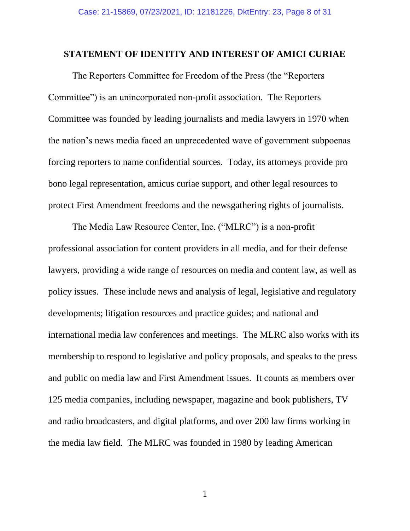#### **STATEMENT OF IDENTITY AND INTEREST OF AMICI CURIAE**

The Reporters Committee for Freedom of the Press (the "Reporters Committee") is an unincorporated non-profit association. The Reporters Committee was founded by leading journalists and media lawyers in 1970 when the nation's news media faced an unprecedented wave of government subpoenas forcing reporters to name confidential sources. Today, its attorneys provide pro bono legal representation, amicus curiae support, and other legal resources to protect First Amendment freedoms and the newsgathering rights of journalists.

The Media Law Resource Center, Inc. ("MLRC") is a non-profit professional association for content providers in all media, and for their defense lawyers, providing a wide range of resources on media and content law, as well as policy issues. These include news and analysis of legal, legislative and regulatory developments; litigation resources and practice guides; and national and international media law conferences and meetings. The MLRC also works with its membership to respond to legislative and policy proposals, and speaks to the press and public on media law and First Amendment issues. It counts as members over 125 media companies, including newspaper, magazine and book publishers, TV and radio broadcasters, and digital platforms, and over 200 law firms working in the media law field. The MLRC was founded in 1980 by leading American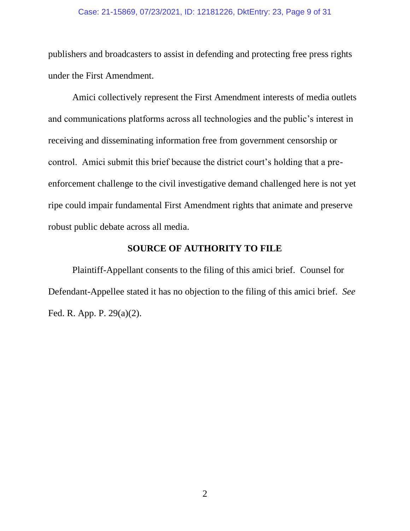#### Case: 21-15869, 07/23/2021, ID: 12181226, DktEntry: 23, Page 9 of 31

publishers and broadcasters to assist in defending and protecting free press rights under the First Amendment.

Amici collectively represent the First Amendment interests of media outlets and communications platforms across all technologies and the public's interest in receiving and disseminating information free from government censorship or control. Amici submit this brief because the district court's holding that a preenforcement challenge to the civil investigative demand challenged here is not yet ripe could impair fundamental First Amendment rights that animate and preserve robust public debate across all media.

## **SOURCE OF AUTHORITY TO FILE**

Plaintiff-Appellant consents to the filing of this amici brief. Counsel for Defendant-Appellee stated it has no objection to the filing of this amici brief. *See* Fed. R. App. P. 29(a)(2).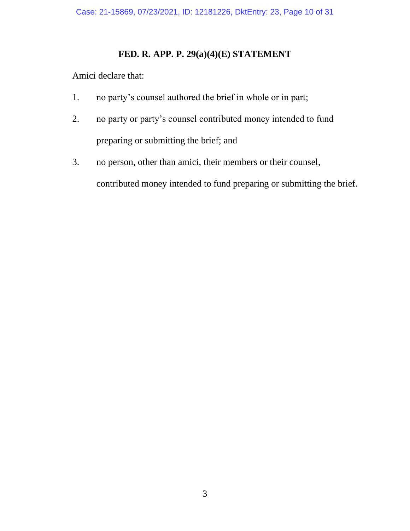## **FED. R. APP. P. 29(a)(4)(E) STATEMENT**

Amici declare that:

- 1. no party's counsel authored the brief in whole or in part;
- 2. no party or party's counsel contributed money intended to fund preparing or submitting the brief; and
- 3. no person, other than amici, their members or their counsel, contributed money intended to fund preparing or submitting the brief.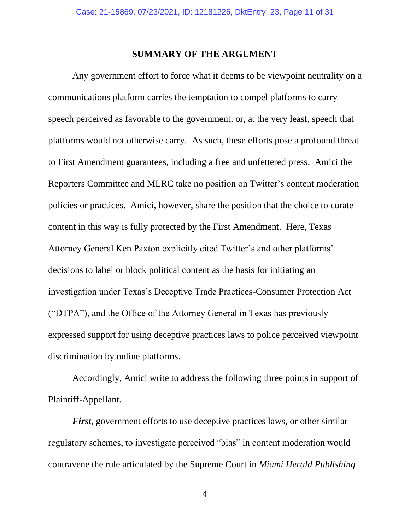#### **SUMMARY OF THE ARGUMENT**

Any government effort to force what it deems to be viewpoint neutrality on a communications platform carries the temptation to compel platforms to carry speech perceived as favorable to the government, or, at the very least, speech that platforms would not otherwise carry. As such, these efforts pose a profound threat to First Amendment guarantees, including a free and unfettered press. Amici the Reporters Committee and MLRC take no position on Twitter's content moderation policies or practices. Amici, however, share the position that the choice to curate content in this way is fully protected by the First Amendment. Here, Texas Attorney General Ken Paxton explicitly cited Twitter's and other platforms' decisions to label or block political content as the basis for initiating an investigation under Texas's Deceptive Trade Practices-Consumer Protection Act ("DTPA"), and the Office of the Attorney General in Texas has previously expressed support for using deceptive practices laws to police perceived viewpoint discrimination by online platforms.

Accordingly, Amici write to address the following three points in support of Plaintiff-Appellant.

*First*, government efforts to use deceptive practices laws, or other similar regulatory schemes, to investigate perceived "bias" in content moderation would contravene the rule articulated by the Supreme Court in *Miami Herald Publishing* 

4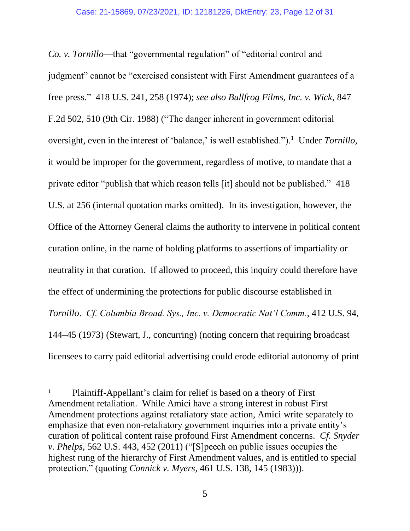*Co. v. Tornillo*—that "governmental regulation" of "editorial control and judgment" cannot be "exercised consistent with First Amendment guarantees of a free press." 418 U.S. 241, 258 (1974); *see also Bullfrog Films, Inc. v. Wick*, 847 F.2d 502, 510 (9th Cir. 1988) ("The danger inherent in government editorial oversight, even in the interest of 'balance,' is well established.").<sup>1</sup> Under *Tornillo*, it would be improper for the government, regardless of motive, to mandate that a private editor "publish that which reason tells [it] should not be published." 418 U.S. at 256 (internal quotation marks omitted). In its investigation, however, the Office of the Attorney General claims the authority to intervene in political content curation online, in the name of holding platforms to assertions of impartiality or neutrality in that curation. If allowed to proceed, this inquiry could therefore have the effect of undermining the protections for public discourse established in *Tornillo*. *Cf. Columbia Broad. Sys., Inc. v. Democratic Nat'l Comm.*, 412 U.S. 94, 144–45 (1973) (Stewart, J., concurring) (noting concern that requiring broadcast licensees to carry paid editorial advertising could erode editorial autonomy of print

<sup>1</sup> Plaintiff-Appellant's claim for relief is based on a theory of First Amendment retaliation. While Amici have a strong interest in robust First Amendment protections against retaliatory state action, Amici write separately to emphasize that even non-retaliatory government inquiries into a private entity's curation of political content raise profound First Amendment concerns. *Cf. Snyder v. Phelps*, 562 U.S. 443, 452 (2011) ("[S]peech on public issues occupies the highest rung of the hierarchy of First Amendment values, and is entitled to special protection." (quoting *Connick v. Myers*, 461 U.S. 138, 145 (1983))).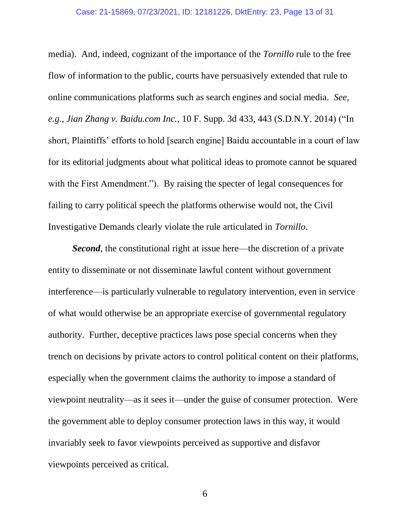#### Case: 21-15869, 07/23/2021, ID: 12181226, DktEntry: 23, Page 13 of 31

media). And, indeed, cognizant of the importance of the *Tornillo* rule to the free flow of information to the public, courts have persuasively extended that rule to online communications platforms such as search engines and social media. *See, e.g*., *Jian Zhang v. Baidu.com Inc.*, 10 F. Supp. 3d 433, 443 (S.D.N.Y. 2014) ("In short, Plaintiffs' efforts to hold [search engine] Baidu accountable in a court of law for its editorial judgments about what political ideas to promote cannot be squared with the First Amendment."). By raising the specter of legal consequences for failing to carry political speech the platforms otherwise would not, the Civil Investigative Demands clearly violate the rule articulated in *Tornillo*.

*Second*, the constitutional right at issue here—the discretion of a private entity to disseminate or not disseminate lawful content without government interference—is particularly vulnerable to regulatory intervention, even in service of what would otherwise be an appropriate exercise of governmental regulatory authority. Further, deceptive practices laws pose special concerns when they trench on decisions by private actors to control political content on their platforms, especially when the government claims the authority to impose a standard of viewpoint neutrality—as it sees it—under the guise of consumer protection. Were the government able to deploy consumer protection laws in this way, it would invariably seek to favor viewpoints perceived as supportive and disfavor viewpoints perceived as critical.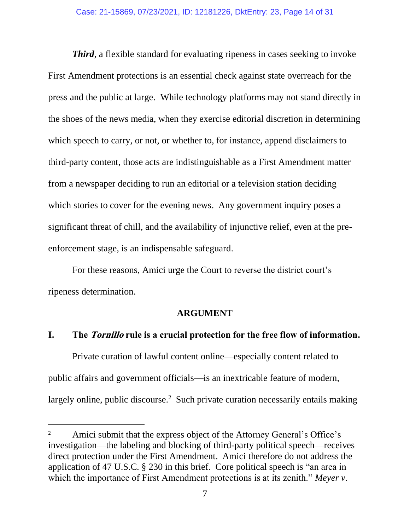*Third*, a flexible standard for evaluating ripeness in cases seeking to invoke First Amendment protections is an essential check against state overreach for the press and the public at large. While technology platforms may not stand directly in the shoes of the news media, when they exercise editorial discretion in determining which speech to carry, or not, or whether to, for instance, append disclaimers to third-party content, those acts are indistinguishable as a First Amendment matter from a newspaper deciding to run an editorial or a television station deciding which stories to cover for the evening news. Any government inquiry poses a significant threat of chill, and the availability of injunctive relief, even at the preenforcement stage, is an indispensable safeguard.

For these reasons, Amici urge the Court to reverse the district court's ripeness determination.

#### **ARGUMENT**

### **I. The Tornillo rule is a crucial protection for the free flow of information.**

Private curation of lawful content online—especially content related to public affairs and government officials—is an inextricable feature of modern, largely online, public discourse.<sup>2</sup> Such private curation necessarily entails making

Amici submit that the express object of the Attorney General's Office's investigation—the labeling and blocking of third-party political speech—receives direct protection under the First Amendment. Amici therefore do not address the application of 47 U.S.C. § 230 in this brief. Core political speech is "an area in which the importance of First Amendment protections is at its zenith." *Meyer v.*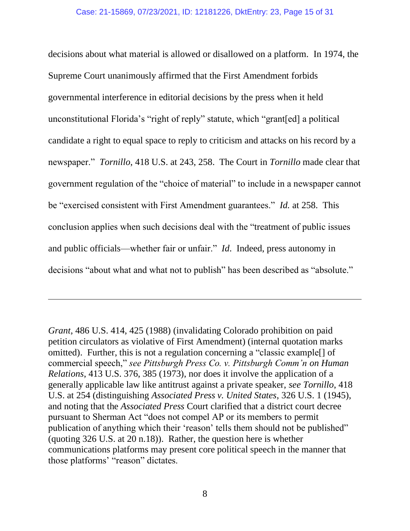decisions about what material is allowed or disallowed on a platform. In 1974, the Supreme Court unanimously affirmed that the First Amendment forbids governmental interference in editorial decisions by the press when it held unconstitutional Florida's "right of reply" statute, which "grant[ed] a political candidate a right to equal space to reply to criticism and attacks on his record by a newspaper." *Tornillo*, 418 U.S. at 243, 258. The Court in *Tornillo* made clear that government regulation of the "choice of material" to include in a newspaper cannot be "exercised consistent with First Amendment guarantees." *Id.* at 258. This conclusion applies when such decisions deal with the "treatment of public issues and public officials—whether fair or unfair." *Id*. Indeed, press autonomy in decisions "about what and what not to publish" has been described as "absolute."

*Grant*, 486 U.S. 414, 425 (1988) (invalidating Colorado prohibition on paid petition circulators as violative of First Amendment) (internal quotation marks omitted). Further, this is not a regulation concerning a "classic example[] of commercial speech," *see Pittsburgh Press Co. v. Pittsburgh Comm'n on Human Relations*, 413 U.S. 376, 385 (1973), nor does it involve the application of a generally applicable law like antitrust against a private speaker, *see Tornillo*, 418 U.S. at 254 (distinguishing *Associated Press v. United States*, 326 U.S. 1 (1945), and noting that the *Associated Press* Court clarified that a district court decree pursuant to Sherman Act "does not compel AP or its members to permit publication of anything which their 'reason' tells them should not be published" (quoting 326 U.S. at 20 n.18)). Rather, the question here is whether communications platforms may present core political speech in the manner that those platforms' "reason" dictates.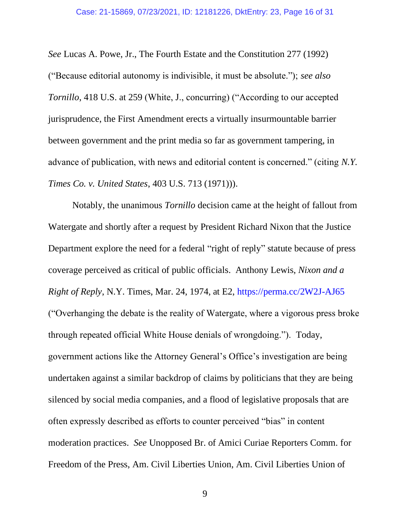*See* Lucas A. Powe, Jr., The Fourth Estate and the Constitution 277 (1992) ("Because editorial autonomy is indivisible, it must be absolute."); *see also Tornillo*, 418 U.S. at 259 (White, J., concurring) ("According to our accepted jurisprudence, the First Amendment erects a virtually insurmountable barrier between government and the print media so far as government tampering, in advance of publication, with news and editorial content is concerned." (citing *N.Y. Times Co. v. United States*, 403 U.S. 713 (1971))).

Notably, the unanimous *Tornillo* decision came at the height of fallout from Watergate and shortly after a request by President Richard Nixon that the Justice Department explore the need for a federal "right of reply" statute because of press coverage perceived as critical of public officials. Anthony Lewis, *Nixon and a Right of Reply*, N.Y. Times, Mar. 24, 1974, at E2, https://perma.cc/2W2J-AJ65 ("Overhanging the debate is the reality of Watergate, where a vigorous press broke through repeated official White House denials of wrongdoing."). Today, government actions like the Attorney General's Office's investigation are being undertaken against a similar backdrop of claims by politicians that they are being silenced by social media companies, and a flood of legislative proposals that are often expressly described as efforts to counter perceived "bias" in content moderation practices. *See* Unopposed Br. of Amici Curiae Reporters Comm. for Freedom of the Press, Am. Civil Liberties Union, Am. Civil Liberties Union of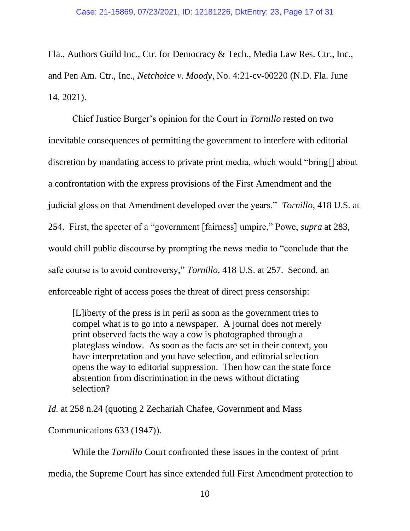Fla., Authors Guild Inc., Ctr. for Democracy & Tech., Media Law Res. Ctr., Inc., and Pen Am. Ctr., Inc., *Netchoice v. Moody*, No. 4:21-cv-00220 (N.D. Fla. June 14, 2021).

Chief Justice Burger's opinion for the Court in *Tornillo* rested on two inevitable consequences of permitting the government to interfere with editorial discretion by mandating access to private print media, which would "bring[] about a confrontation with the express provisions of the First Amendment and the judicial gloss on that Amendment developed over the years." *Tornillo*, 418 U.S. at 254. First, the specter of a "government [fairness] umpire," Powe, *supra* at 283, would chill public discourse by prompting the news media to "conclude that the safe course is to avoid controversy," *Tornillo*, 418 U.S. at 257. Second, an enforceable right of access poses the threat of direct press censorship:

[L]iberty of the press is in peril as soon as the government tries to compel what is to go into a newspaper. A journal does not merely print observed facts the way a cow is photographed through a plateglass window. As soon as the facts are set in their context, you have interpretation and you have selection, and editorial selection opens the way to editorial suppression. Then how can the state force abstention from discrimination in the news without dictating selection?

*Id.* at 258 n.24 (quoting 2 Zechariah Chafee, Government and Mass

Communications 633 (1947)).

While the *Tornillo* Court confronted these issues in the context of print

media, the Supreme Court has since extended full First Amendment protection to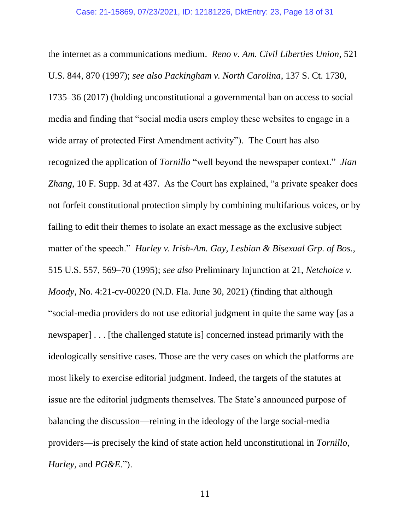the internet as a communications medium. *Reno v. Am. Civil Liberties Union*, 521 U.S. 844, 870 (1997); *see also Packingham v. North Carolina*, 137 S. Ct. 1730, 1735–36 (2017) (holding unconstitutional a governmental ban on access to social media and finding that "social media users employ these websites to engage in a wide array of protected First Amendment activity"). The Court has also recognized the application of *Tornillo* "well beyond the newspaper context." *Jian Zhang*, 10 F. Supp. 3d at 437. As the Court has explained, "a private speaker does not forfeit constitutional protection simply by combining multifarious voices, or by failing to edit their themes to isolate an exact message as the exclusive subject matter of the speech." *Hurley v. Irish-Am. Gay, Lesbian & Bisexual Grp. of Bos.*, 515 U.S. 557, 569–70 (1995); *see also* Preliminary Injunction at 21, *Netchoice v. Moody*, No. 4:21-cv-00220 (N.D. Fla. June 30, 2021) (finding that although "social-media providers do not use editorial judgment in quite the same way [as a newspaper] . . . [the challenged statute is] concerned instead primarily with the ideologically sensitive cases. Those are the very cases on which the platforms are most likely to exercise editorial judgment. Indeed, the targets of the statutes at issue are the editorial judgments themselves. The State's announced purpose of balancing the discussion—reining in the ideology of the large social-media providers—is precisely the kind of state action held unconstitutional in *Tornillo*, *Hurley*, and *PG&E*.").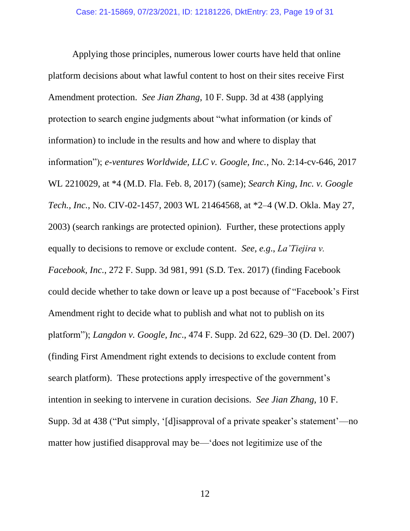Applying those principles, numerous lower courts have held that online platform decisions about what lawful content to host on their sites receive First Amendment protection. *See Jian Zhang*, 10 F. Supp. 3d at 438 (applying protection to search engine judgments about "what information (or kinds of information) to include in the results and how and where to display that information"); *e-ventures Worldwide, LLC v. Google, Inc.*, No. 2:14-cv-646, 2017 WL 2210029, at \*4 (M.D. Fla. Feb. 8, 2017) (same); *Search King, Inc. v. Google Tech., Inc.*, No. CIV-02-1457, 2003 WL 21464568, at \*2–4 (W.D. Okla. May 27, 2003) (search rankings are protected opinion). Further, these protections apply equally to decisions to remove or exclude content. *See, e.g*., *La'Tiejira v. Facebook, Inc.*, 272 F. Supp. 3d 981, 991 (S.D. Tex. 2017) (finding Facebook could decide whether to take down or leave up a post because of "Facebook's First Amendment right to decide what to publish and what not to publish on its platform"); *Langdon v. Google, Inc*., 474 F. Supp. 2d 622, 629–30 (D. Del. 2007) (finding First Amendment right extends to decisions to exclude content from search platform). These protections apply irrespective of the government's intention in seeking to intervene in curation decisions. *See Jian Zhang*, 10 F. Supp. 3d at 438 ("Put simply, '[d]isapproval of a private speaker's statement'—no matter how justified disapproval may be—'does not legitimize use of the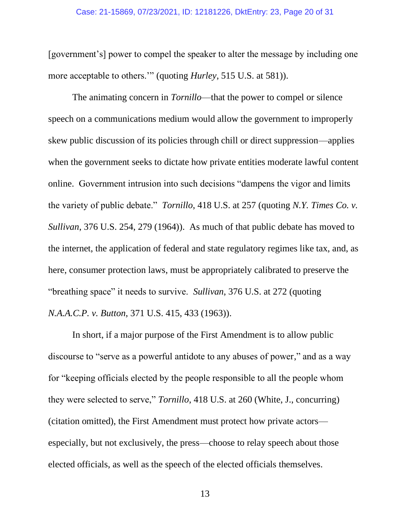#### Case: 21-15869, 07/23/2021, ID: 12181226, DktEntry: 23, Page 20 of 31

[government's] power to compel the speaker to alter the message by including one more acceptable to others.'" (quoting *Hurley*, 515 U.S. at 581)).

The animating concern in *Tornillo*—that the power to compel or silence speech on a communications medium would allow the government to improperly skew public discussion of its policies through chill or direct suppression—applies when the government seeks to dictate how private entities moderate lawful content online. Government intrusion into such decisions "dampens the vigor and limits the variety of public debate." *Tornillo*, 418 U.S. at 257 (quoting *N.Y. Times Co. v. Sullivan*, 376 U.S. 254, 279 (1964)). As much of that public debate has moved to the internet, the application of federal and state regulatory regimes like tax, and, as here, consumer protection laws, must be appropriately calibrated to preserve the "breathing space" it needs to survive. *Sullivan*, 376 U.S. at 272 (quoting *N.A.A.C.P. v. Button*, 371 U.S. 415, 433 (1963)).

In short, if a major purpose of the First Amendment is to allow public discourse to "serve as a powerful antidote to any abuses of power," and as a way for "keeping officials elected by the people responsible to all the people whom they were selected to serve," *Tornillo*, 418 U.S. at 260 (White, J., concurring) (citation omitted), the First Amendment must protect how private actors especially, but not exclusively, the press—choose to relay speech about those elected officials, as well as the speech of the elected officials themselves.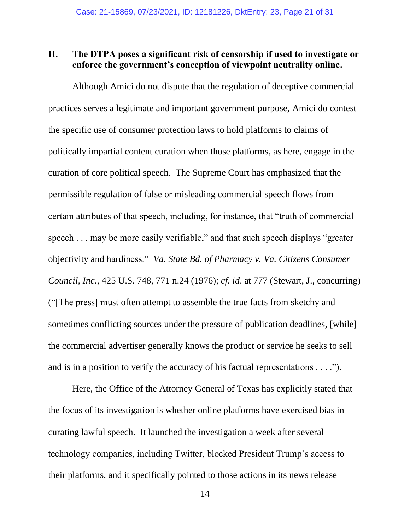## **II. The DTPA poses a significant risk of censorship if used to investigate or enforce the government's conception of viewpoint neutrality online.**

Although Amici do not dispute that the regulation of deceptive commercial practices serves a legitimate and important government purpose, Amici do contest the specific use of consumer protection laws to hold platforms to claims of politically impartial content curation when those platforms, as here, engage in the curation of core political speech. The Supreme Court has emphasized that the permissible regulation of false or misleading commercial speech flows from certain attributes of that speech, including, for instance, that "truth of commercial speech . . . may be more easily verifiable," and that such speech displays "greater objectivity and hardiness." *Va. State Bd. of Pharmacy v. Va. Citizens Consumer Council, Inc.*, 425 U.S. 748, 771 n.24 (1976); *cf. id*. at 777 (Stewart, J., concurring) ("[The press] must often attempt to assemble the true facts from sketchy and sometimes conflicting sources under the pressure of publication deadlines, [while] the commercial advertiser generally knows the product or service he seeks to sell and is in a position to verify the accuracy of his factual representations . . . .").

Here, the Office of the Attorney General of Texas has explicitly stated that the focus of its investigation is whether online platforms have exercised bias in curating lawful speech. It launched the investigation a week after several technology companies, including Twitter, blocked President Trump's access to their platforms, and it specifically pointed to those actions in its news release

14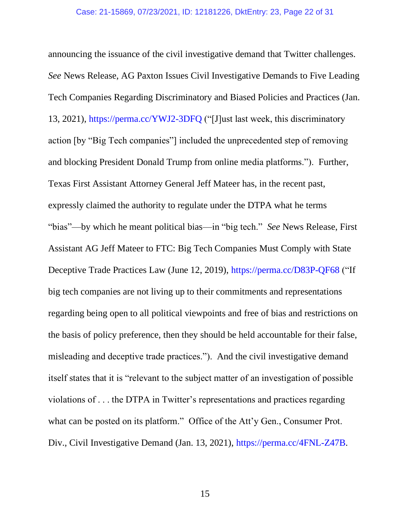announcing the issuance of the civil investigative demand that Twitter challenges. *See* News Release, AG Paxton Issues Civil Investigative Demands to Five Leading Tech Companies Regarding Discriminatory and Biased Policies and Practices (Jan. 13, 2021), https://perma.cc/YWJ2-3DFQ ("[J]ust last week, this discriminatory action [by "Big Tech companies"] included the unprecedented step of removing and blocking President Donald Trump from online media platforms."). Further, Texas First Assistant Attorney General Jeff Mateer has, in the recent past, expressly claimed the authority to regulate under the DTPA what he terms "bias"—by which he meant political bias—in "big tech." *See* News Release, First Assistant AG Jeff Mateer to FTC: Big Tech Companies Must Comply with State Deceptive Trade Practices Law (June 12, 2019), https://perma.cc/D83P-QF68 ("If big tech companies are not living up to their commitments and representations regarding being open to all political viewpoints and free of bias and restrictions on the basis of policy preference, then they should be held accountable for their false, misleading and deceptive trade practices."). And the civil investigative demand itself states that it is "relevant to the subject matter of an investigation of possible violations of . . . the DTPA in Twitter's representations and practices regarding what can be posted on its platform." Office of the Att'y Gen., Consumer Prot. Div., Civil Investigative Demand (Jan. 13, 2021), https://perma.cc/4FNL-Z47B.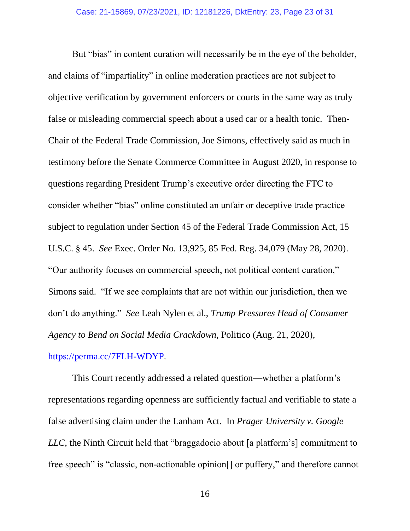But "bias" in content curation will necessarily be in the eye of the beholder, and claims of "impartiality" in online moderation practices are not subject to objective verification by government enforcers or courts in the same way as truly false or misleading commercial speech about a used car or a health tonic. Then-Chair of the Federal Trade Commission, Joe Simons, effectively said as much in testimony before the Senate Commerce Committee in August 2020, in response to questions regarding President Trump's executive order directing the FTC to consider whether "bias" online constituted an unfair or deceptive trade practice subject to regulation under Section 45 of the Federal Trade Commission Act, 15 U.S.C. § 45. *See* Exec. Order No. 13,925, 85 Fed. Reg. 34,079 (May 28, 2020). "Our authority focuses on commercial speech, not political content curation," Simons said. "If we see complaints that are not within our jurisdiction, then we don't do anything." *See* Leah Nylen et al., *Trump Pressures Head of Consumer Agency to Bend on Social Media Crackdown*, Politico (Aug. 21, 2020), https://perma.cc/7FLH-WDYP.

This Court recently addressed a related question—whether a platform's representations regarding openness are sufficiently factual and verifiable to state a false advertising claim under the Lanham Act. In *Prager University v. Google LLC*, the Ninth Circuit held that "braggadocio about [a platform's] commitment to free speech" is "classic, non-actionable opinion<sup>[]</sup> or puffery," and therefore cannot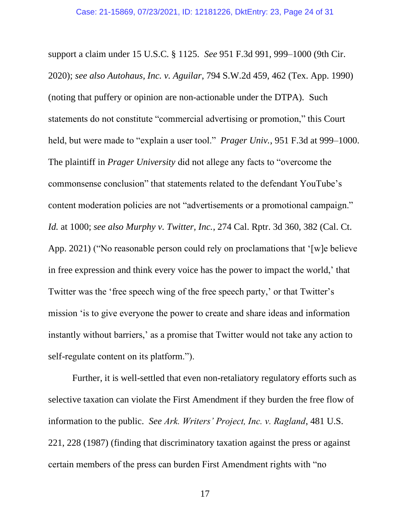support a claim under 15 U.S.C. § 1125. *See* 951 F.3d 991, 999–1000 (9th Cir. 2020); *see also Autohaus, Inc. v. Aguilar*, 794 S.W.2d 459, 462 (Tex. App. 1990) (noting that puffery or opinion are non-actionable under the DTPA). Such statements do not constitute "commercial advertising or promotion," this Court held, but were made to "explain a user tool." *Prager Univ.*, 951 F.3d at 999–1000. The plaintiff in *Prager University* did not allege any facts to "overcome the commonsense conclusion" that statements related to the defendant YouTube's content moderation policies are not "advertisements or a promotional campaign." *Id.* at 1000; *see also Murphy v. Twitter, Inc.*, 274 Cal. Rptr. 3d 360, 382 (Cal. Ct. App. 2021) ("No reasonable person could rely on proclamations that '[w]e believe in free expression and think every voice has the power to impact the world,' that Twitter was the 'free speech wing of the free speech party,' or that Twitter's mission 'is to give everyone the power to create and share ideas and information instantly without barriers,' as a promise that Twitter would not take any action to self-regulate content on its platform.").

Further, it is well-settled that even non-retaliatory regulatory efforts such as selective taxation can violate the First Amendment if they burden the free flow of information to the public. *See Ark. Writers' Project, Inc. v. Ragland*, 481 U.S. 221, 228 (1987) (finding that discriminatory taxation against the press or against certain members of the press can burden First Amendment rights with "no

17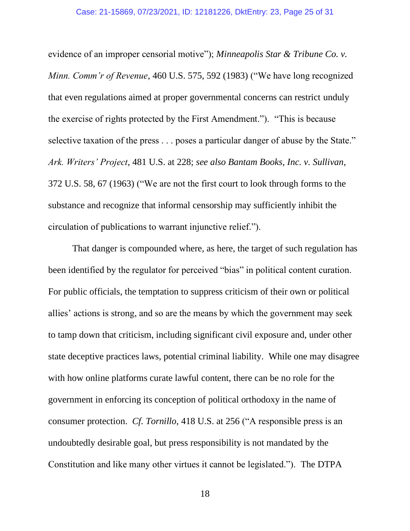evidence of an improper censorial motive"); *Minneapolis Star & Tribune Co. v. Minn. Comm'r of Revenue*, 460 U.S. 575, 592 (1983) ("We have long recognized that even regulations aimed at proper governmental concerns can restrict unduly the exercise of rights protected by the First Amendment."). "This is because selective taxation of the press . . . poses a particular danger of abuse by the State." *Ark. Writers' Project*, 481 U.S. at 228; *see also Bantam Books, Inc. v. Sullivan*, 372 U.S. 58, 67 (1963) ("We are not the first court to look through forms to the substance and recognize that informal censorship may sufficiently inhibit the circulation of publications to warrant injunctive relief.").

That danger is compounded where, as here, the target of such regulation has been identified by the regulator for perceived "bias" in political content curation. For public officials, the temptation to suppress criticism of their own or political allies' actions is strong, and so are the means by which the government may seek to tamp down that criticism, including significant civil exposure and, under other state deceptive practices laws, potential criminal liability. While one may disagree with how online platforms curate lawful content, there can be no role for the government in enforcing its conception of political orthodoxy in the name of consumer protection. *Cf. Tornillo*, 418 U.S. at 256 ("A responsible press is an undoubtedly desirable goal, but press responsibility is not mandated by the Constitution and like many other virtues it cannot be legislated."). The DTPA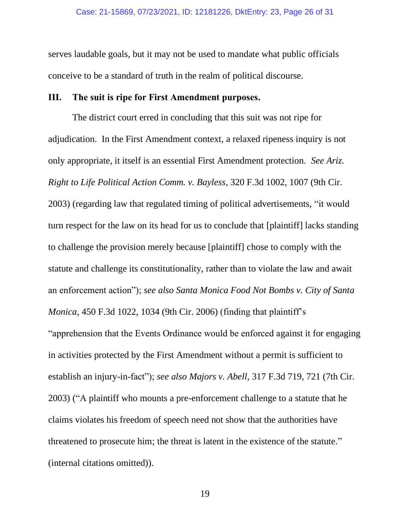serves laudable goals, but it may not be used to mandate what public officials conceive to be a standard of truth in the realm of political discourse.

## **III. The suit is ripe for First Amendment purposes.**

The district court erred in concluding that this suit was not ripe for adjudication. In the First Amendment context, a relaxed ripeness inquiry is not only appropriate, it itself is an essential First Amendment protection*. See Ariz. Right to Life Political Action Comm. v. Bayless*, 320 F.3d 1002, 1007 (9th Cir. 2003) (regarding law that regulated timing of political advertisements, "it would turn respect for the law on its head for us to conclude that [plaintiff] lacks standing to challenge the provision merely because [plaintiff] chose to comply with the statute and challenge its constitutionality, rather than to violate the law and await an enforcement action"); *see also Santa Monica Food Not Bombs v. City of Santa Monica*, 450 F.3d 1022, 1034 (9th Cir. 2006) (finding that plaintiff's "apprehension that the Events Ordinance would be enforced against it for engaging in activities protected by the First Amendment without a permit is sufficient to establish an injury-in-fact"); *see also Majors v. Abell*, 317 F.3d 719, 721 (7th Cir. 2003) ("A plaintiff who mounts a pre-enforcement challenge to a statute that he claims violates his freedom of speech need not show that the authorities have threatened to prosecute him; the threat is latent in the existence of the statute." (internal citations omitted)).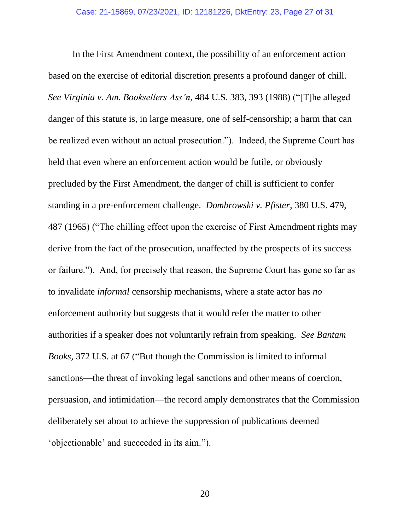In the First Amendment context, the possibility of an enforcement action based on the exercise of editorial discretion presents a profound danger of chill. *See Virginia v. Am. Booksellers Ass'n*, 484 U.S. 383, 393 (1988) ("[T]he alleged danger of this statute is, in large measure, one of self-censorship; a harm that can be realized even without an actual prosecution."). Indeed, the Supreme Court has held that even where an enforcement action would be futile, or obviously precluded by the First Amendment, the danger of chill is sufficient to confer standing in a pre-enforcement challenge. *Dombrowski v. Pfister*, 380 U.S. 479, 487 (1965) ("The chilling effect upon the exercise of First Amendment rights may derive from the fact of the prosecution, unaffected by the prospects of its success or failure."). And, for precisely that reason, the Supreme Court has gone so far as to invalidate *informal* censorship mechanisms, where a state actor has *no*  enforcement authority but suggests that it would refer the matter to other authorities if a speaker does not voluntarily refrain from speaking. *See Bantam Books*, 372 U.S. at 67 ("But though the Commission is limited to informal sanctions—the threat of invoking legal sanctions and other means of coercion, persuasion, and intimidation—the record amply demonstrates that the Commission deliberately set about to achieve the suppression of publications deemed 'objectionable' and succeeded in its aim.").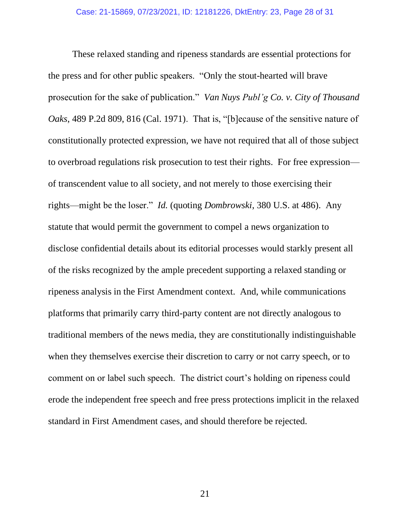These relaxed standing and ripeness standards are essential protections for the press and for other public speakers. "Only the stout-hearted will brave prosecution for the sake of publication." *Van Nuys Publ'g Co. v. City of Thousand Oaks*, 489 P.2d 809, 816 (Cal. 1971). That is, "[b]ecause of the sensitive nature of constitutionally protected expression, we have not required that all of those subject to overbroad regulations risk prosecution to test their rights. For free expression of transcendent value to all society, and not merely to those exercising their rights—might be the loser." *Id.* (quoting *Dombrowski*, 380 U.S. at 486). Any statute that would permit the government to compel a news organization to disclose confidential details about its editorial processes would starkly present all of the risks recognized by the ample precedent supporting a relaxed standing or ripeness analysis in the First Amendment context. And, while communications platforms that primarily carry third-party content are not directly analogous to traditional members of the news media, they are constitutionally indistinguishable when they themselves exercise their discretion to carry or not carry speech, or to comment on or label such speech. The district court's holding on ripeness could erode the independent free speech and free press protections implicit in the relaxed standard in First Amendment cases, and should therefore be rejected.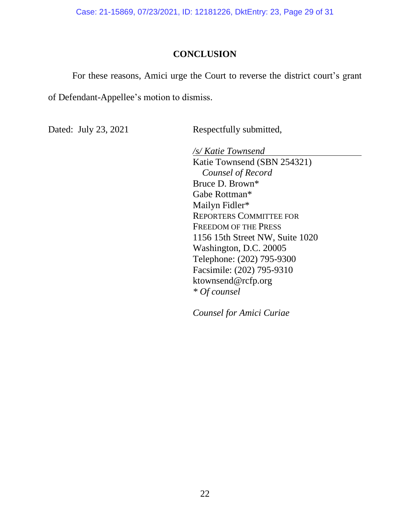Case: 21-15869, 07/23/2021, ID: 12181226, DktEntry: 23, Page 29 of 31

## **CONCLUSION**

For these reasons, Amici urge the Court to reverse the district court's grant of Defendant-Appellee's motion to dismiss.

Dated: July 23, 2021 Respectfully submitted,

*/s/ Katie Townsend* Katie Townsend (SBN 254321) *Counsel of Record* Bruce D. Brown\* Gabe Rottman\* Mailyn Fidler\* REPORTERS COMMITTEE FOR FREEDOM OF THE PRESS 1156 15th Street NW, Suite 1020 Washington, D.C. 20005 Telephone: (202) 795-9300 Facsimile: (202) 795-9310 ktownsend@rcfp.org *\* Of counsel*

*Counsel for Amici Curiae*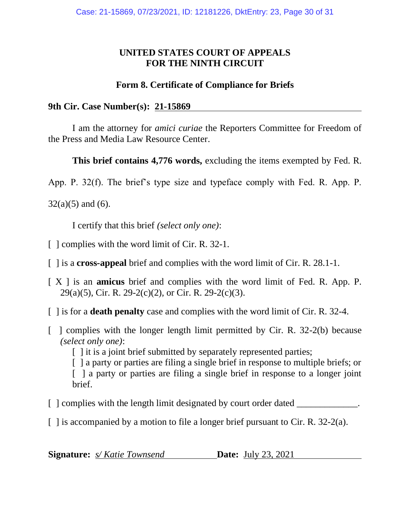## **UNITED STATES COURT OF APPEALS FOR THE NINTH CIRCUIT**

## **Form 8. Certificate of Compliance for Briefs**

**9th Cir. Case Number(s): 21-15869**

I am the attorney for *amici curiae* the Reporters Committee for Freedom of the Press and Media Law Resource Center.

**This brief contains 4,776 words,** excluding the items exempted by Fed. R.

App. P. 32(f). The brief's type size and typeface comply with Fed. R. App. P.

 $32(a)(5)$  and (6).

I certify that this brief *(select only one)*:

- [ ] complies with the word limit of Cir. R. 32-1.
- [ ] is a **cross-appeal** brief and complies with the word limit of Cir. R. 28.1-1.
- [ X ] is an **amicus** brief and complies with the word limit of Fed. R. App. P.  $29(a)(5)$ , Cir. R. 29-2(c)(2), or Cir. R. 29-2(c)(3).
- [ ] is for a **death penalty** case and complies with the word limit of Cir. R. 32-4.
- [ ] complies with the longer length limit permitted by Cir. R. 32-2(b) because *(select only one)*:

[ ] it is a joint brief submitted by separately represented parties;

[ ] a party or parties are filing a single brief in response to multiple briefs; or [ ] a party or parties are filing a single brief in response to a longer joint brief.

- [ ] complies with the length limit designated by court order dated \_\_\_\_\_\_\_\_\_\_\_\_\_.
- [ ] is accompanied by a motion to file a longer brief pursuant to Cir. R. 32-2(a).

**Signature:** *s/ Katie Townsend* **Date:** July 23, 2021